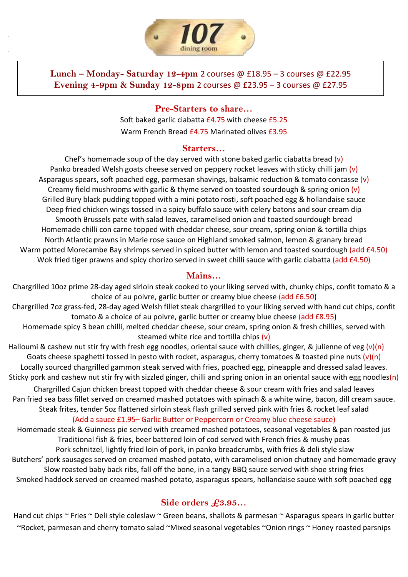

.

.

# **Lunch – Monday- Saturday 12-4pm** 2 courses @ £18.95 – 3 courses @ £22.95 **Evening 4-9pm & Sunday 12-8pm** 2 courses @ £23.95 – 3 courses @ £27.95

**Pre-Starters to share…** Soft baked garlic ciabatta £4.75 with cheese £5.25 Warm French Bread £4.75 Marinated olives £3.95

#### **Starters…**

Chef's homemade soup of the day served with stone baked garlic ciabatta bread (v) Panko breaded Welsh goats cheese served on peppery rocket leaves with sticky chilli jam (v) Asparagus spears, soft poached egg, parmesan shavings, balsamic reduction & tomato concasse (v) Creamy field mushrooms with garlic & thyme served on toasted sourdough & spring onion  $(v)$ Grilled Bury black pudding topped with a mini potato rosti, soft poached egg & hollandaise sauce Deep fried chicken wings tossed in a spicy buffalo sauce with celery batons and sour cream dip Smooth Brussels pate with salad leaves, caramelised onion and toasted sourdough bread Homemade chilli con carne topped with cheddar cheese, sour cream, spring onion & tortilla chips North Atlantic prawns in Marie rose sauce on Highland smoked salmon, lemon & granary bread Warm potted Morecambe Bay shrimps served in spiced butter with lemon and toasted sourdough (add £4.50) Wok fried tiger prawns and spicy chorizo served in sweet chilli sauce with garlic ciabatta (add £4.50)

### **Mains…**

Chargrilled 10oz prime 28-day aged sirloin steak cooked to your liking served with, chunky chips, confit tomato & a choice of au poivre, garlic butter or creamy blue cheese (add £6.50) Chargrilled 7oz grass-fed, 28-day aged Welsh fillet steak chargrilled to your liking served with hand cut chips, confit tomato & a choice of au poivre, garlic butter or creamy blue cheese (add £8.95) Homemade spicy 3 bean chilli, melted cheddar cheese, sour cream, spring onion & fresh chillies, served with steamed white rice and tortilla chips (v)

Halloumi & cashew nut stir fry with fresh egg noodles, oriental sauce with chillies, ginger, & julienne of veg (v)(n) Goats cheese spaghetti tossed in pesto with rocket, asparagus, cherry tomatoes & toasted pine nuts  $(v)(n)$ Locally sourced chargrilled gammon steak served with fries, poached egg, pineapple and dressed salad leaves. Sticky pork and cashew nut stir fry with sizzled ginger, chilli and spring onion in an oriental sauce with egg noodles(n)

Chargrilled Cajun chicken breast topped with cheddar cheese & sour cream with fries and salad leaves Pan fried sea bass fillet served on creamed mashed potatoes with spinach & a white wine, bacon, dill cream sauce. Steak frites, tender 5oz flattened sirloin steak flash grilled served pink with fries & rocket leaf salad

(Add a sauce £1.95– Garlic Butter or Peppercorn or Creamy blue cheese sauce)

Homemade steak & Guinness pie served with creamed mashed potatoes, seasonal vegetables & pan roasted jus Traditional fish & fries, beer battered loin of cod served with French fries & mushy peas Pork schnitzel, lightly fried loin of pork, in panko breadcrumbs, with fries & deli style slaw Butchers' pork sausages served on creamed mashed potato, with caramelised onion chutney and homemade gravy Slow roasted baby back ribs, fall off the bone, in a tangy BBQ sauce served with shoe string fries Smoked haddock served on creamed mashed potato, asparagus spears, hollandaise sauce with soft poached egg

# **Side orders £3.95…**

Hand cut chips ~ Fries ~ Deli style coleslaw ~ Green beans, shallots & parmesan ~ Asparagus spears in garlic butter ~Rocket, parmesan and cherry tomato salad ~Mixed seasonal vegetables ~Onion rings ~ Honey roasted parsnips